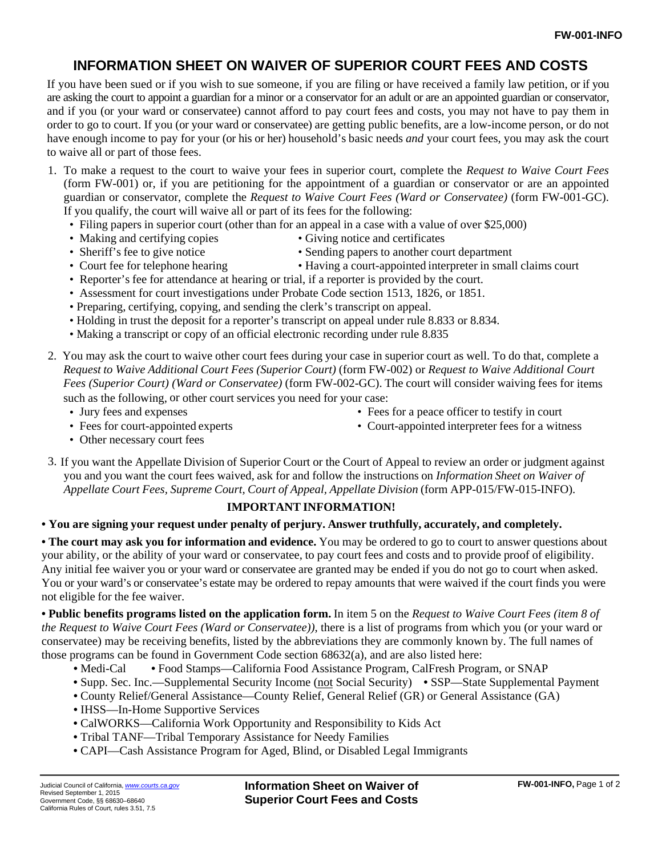## **INFORMATION SHEET ON WAIVER OF SUPERIOR COURT FEES AND COSTS**

If you have been sued or if you wish to sue someone, if you are filing or have received a family law petition, or if you are asking the court to appoint a guardian for a minor or a conservator for an adult or are an appointed guardian or conservator, and if you (or your ward or conservatee) cannot afford to pay court fees and costs, you may not have to pay them in order to go to court. If you (or your ward or conservatee) are getting public benefits, are a low-income person, or do not have enough income to pay for your (or his or her) household's basic needs *and* your court fees, you may ask the court to waive all or part of those fees.

- 1. To make a request to the court to waive your fees in superior court, complete the *Request to Waive Court Fees*  (form FW-001) or, if you are petitioning for the appointment of a guardian or conservator or are an appointed guardian or conservator, complete the *Request to Waive Court Fees (Ward or Conservatee)* (form FW-001-GC). If you qualify, the court will waive all or part of its fees for the following:
	- Filing papers in superior court (other than for an appeal in a case with a value of over \$25,000)
	- Making and certifying copies Giving notice and certificates
	-
	- Sheriff's fee to give notice Sending papers to another court department
	- Court fee for telephone hearing Having a court-appointed interpreter in small claims court
	- Reporter's fee for attendance at hearing or trial, if a reporter is provided by the court.
	- Assessment for court investigations under Probate Code section 1513, 1826, or 1851.
	- Preparing, certifying, copying, and sending the clerk's transcript on appeal.
	- Holding in trust the deposit for a reporter's transcript on appeal under rule 8.833 or 8.834.
	- Making a transcript or copy of an official electronic recording under rule 8.835
- 2. You may ask the court to waive other court fees during your case in superior court as well. To do that, complete a *Request to Waive Additional Court Fees (Superior Court)* (form FW-002) or *Request to Waive Additional Court Fees (Superior Court) (Ward or Conservatee)* (form FW-002-GC). The court will consider waiving fees for items such as the following, or other court services you need for your case:
	- Jury fees and expenses Fees for a peace officer to testify in court
		-
	- Fees for court-appointed experts Court-appointed interpreter fees for a witness

- Other necessary court fees
- 3. If you want the Appellate Division of Superior Court or the Court of Appeal to review an order or judgment against you and you want the court fees waived, ask for and follow the instructions on *Information Sheet on Waiver of Appellate Court Fees, Supreme Court, Court of Appeal, Appellate Division* (form APP-015/FW-015-INFO).

## **IMPORTANT INFORMATION!**

**• You are signing your request under penalty of perjury. Answer truthfully, accurately, and completely.**

**• The court may ask you for information and evidence.** You may be ordered to go to court to answer questions about your ability, or the ability of your ward or conservatee, to pay court fees and costs and to provide proof of eligibility. Any initial fee waiver you or your ward or conservatee are granted may be ended if you do not go to court when asked. You or your ward's or conservatee's estate may be ordered to repay amounts that were waived if the court finds you were not eligible for the fee waiver.

**• Public benefits programs listed on the application form.** In item 5 on the *Request to Waive Court Fees (item 8 of the Request to Waive Court Fees (Ward or Conservatee))*, there is a list of programs from which you (or your ward or conservatee) may be receiving benefits, listed by the abbreviations they are commonly known by. The full names of those programs can be found in Government Code section 68632(a), and are also listed here:

- Medi-Cal Food Stamps—California Food Assistance Program, CalFresh Program, or SNAP
- Supp. Sec. Inc.—Supplemental Security Income (not Social Security) SSP—State Supplemental Payment
- County Relief/General Assistance—County Relief, General Relief (GR) or General Assistance (GA)
- IHSS—In-Home Supportive Services
- CalWORKS—California Work Opportunity and Responsibility to Kids Act
- Tribal TANF—Tribal Temporary Assistance for Needy Families
- CAPI—Cash Assistance Program for Aged, Blind, or Disabled Legal Immigrants